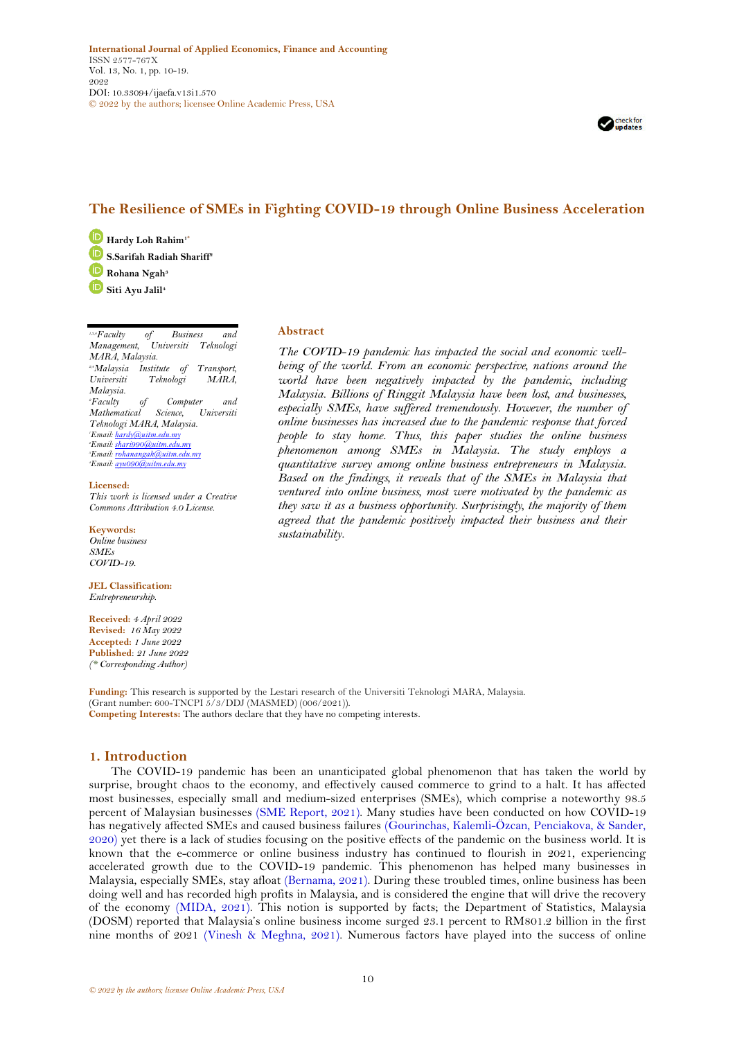

# **The Resilience of SMEs in Fighting COVID-19 through Online Business Acceleration**

**Hardy Loh Rahim1\* S.Sarifah Radiah Shariff<sup>2</sup>**

**Rohana Ngah<sup>3</sup>**

**Siti Ayu Jalil<sup>4</sup>**

*1,3,4Faculty of Business and Management, Universiti Teknologi MARA, Malaysia. 2,4Malaysia Institute of Transport, Universiti Teknologi MARA, Malaysia. <sup>2</sup>Faculty of Computer and Mathematical Science, Universiti Teknologi MARA, Malaysia. <sup>1</sup>Email[: hardy@uitm.edu.my](mailto:hardy@uitm.edu.my) <sup>2</sup>Email[: shari990@uitm.edu.my](mailto:shari990@uitm.edu.my) <sup>3</sup>Email[: rohanangah@uitm.edu.my](mailto:rohanangah@uitm.edu.my) <sup>4</sup>Email[: ayu090@uitm.edu.my](mailto:ayu090@uitm.edu.my)*

#### **Licensed:**

*This work is licensed under a Creative Commons Attribution 4.0 License.* 

#### **Keywords:**

*Online business SMEs COVID-19.*

**JEL Classification:** *Entrepreneurship.*

**Received:** *4 April 2022* **Revised:** *16 May 2022* **Accepted:** *1 June 2022* **Published**: *21 June 2022 (\* Corresponding Author)*

**Funding:** This research is supported by the Lestari research of the Universiti Teknologi MARA, Malaysia. (Grant number: 600-TNCPI 5/3/DDJ (MASMED) (006/2021)). **Competing Interests:** The authors declare that they have no competing interests.

# **1. Introduction**

The COVID-19 pandemic has been an unanticipated global phenomenon that has taken the world by surprise, brought chaos to the economy, and effectively caused commerce to grind to a halt. It has affected most businesses, especially small and medium-sized enterprises (SMEs), which comprise a noteworthy 98.5 percent of Malaysian businesses [\(SME Report, 2021\)](#page-9-0). Many studies have been conducted on how COVID-19 has negatively affected SMEs and caused business failures [\(Gourinchas, Kalemli-Özcan, Penciakova, & Sander,](#page-8-0)  [2020\)](#page-8-0) yet there is a lack of studies focusing on the positive effects of the pandemic on the business world. It is known that the e-commerce or online business industry has continued to flourish in 2021, experiencing accelerated growth due to the COVID-19 pandemic. This phenomenon has helped many businesses in Malaysia, especially SMEs, stay afloat [\(Bernama, 2021\)](#page-8-1). During these troubled times, online business has been doing well and has recorded high profits in Malaysia, and is considered the engine that will drive the recovery of the economy [\(MIDA, 2021\)](#page-9-1). This notion is supported by facts; the Department of Statistics, Malaysia (DOSM) reported that Malaysia's online business income surged 23.1 percent to RM801.2 billion in the first nine months of 2021 [\(Vinesh & Meghna, 2021\)](#page-9-2). Numerous factors have played into the success of online

### **Abstract**

*The COVID-19 pandemic has impacted the social and economic wellbeing of the world. From an economic perspective, nations around the world have been negatively impacted by the pandemic, including Malaysia. Billions of Ringgit Malaysia have been lost, and businesses, especially SMEs, have suffered tremendously. However, the number of online businesses has increased due to the pandemic response that forced people to stay home. Thus, this paper studies the online business phenomenon among SMEs in Malaysia. The study employs a quantitative survey among online business entrepreneurs in Malaysia. Based on the findings, it reveals that of the SMEs in Malaysia that ventured into online business, most were motivated by the pandemic as they saw it as a business opportunity. Surprisingly, the majority of them agreed that the pandemic positively impacted their business and their sustainability.*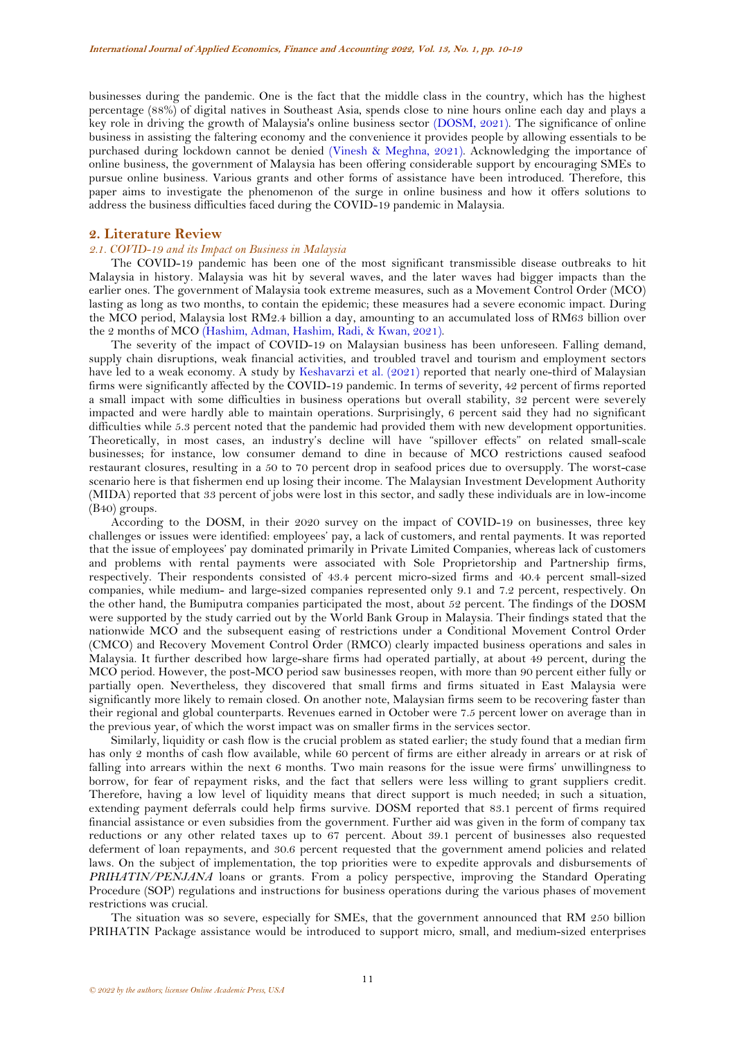businesses during the pandemic. One is the fact that the middle class in the country, which has the highest percentage (88%) of digital natives in Southeast Asia, spends close to nine hours online each day and plays a key role in driving the growth of Malaysia's online business sector [\(DOSM, 2021\)](#page-8-2). The significance of online business in assisting the faltering economy and the convenience it provides people by allowing essentials to be purchased during lockdown cannot be denied [\(Vinesh & Meghna, 2021\)](#page-9-2). Acknowledging the importance of online business, the government of Malaysia has been offering considerable support by encouraging SMEs to pursue online business. Various grants and other forms of assistance have been introduced. Therefore, this paper aims to investigate the phenomenon of the surge in online business and how it offers solutions to address the business difficulties faced during the COVID-19 pandemic in Malaysia.

## **2. Literature Review**

## *2.1. COVID-19 and its Impact on Business in Malaysia*

The COVID-19 pandemic has been one of the most significant transmissible disease outbreaks to hit Malaysia in history. Malaysia was hit by several waves, and the later waves had bigger impacts than the earlier ones. The government of Malaysia took extreme measures, such as a Movement Control Order (MCO) lasting as long as two months, to contain the epidemic; these measures had a severe economic impact. During the MCO period, Malaysia lost RM2.4 billion a day, amounting to an accumulated loss of RM63 billion over the 2 months of MCO [\(Hashim, Adman, Hashim, Radi, & Kwan, 2021\)](#page-8-3).

The severity of the impact of COVID-19 on Malaysian business has been unforeseen. Falling demand, supply chain disruptions, weak financial activities, and troubled travel and tourism and employment sectors have led to a weak economy. A study by [Keshavarzi et al. \(2021\)](#page-9-3) reported that nearly one-third of Malaysian firms were significantly affected by the COVID-19 pandemic. In terms of severity, 42 percent of firms reported a small impact with some difficulties in business operations but overall stability, 32 percent were severely impacted and were hardly able to maintain operations. Surprisingly, 6 percent said they had no significant difficulties while 5.3 percent noted that the pandemic had provided them with new development opportunities. Theoretically, in most cases, an industry's decline will have "spillover effects" on related small-scale businesses; for instance, low consumer demand to dine in because of MCO restrictions caused seafood restaurant closures, resulting in a 50 to 70 percent drop in seafood prices due to oversupply. The worst-case scenario here is that fishermen end up losing their income. The Malaysian Investment Development Authority (MIDA) reported that 33 percent of jobs were lost in this sector, and sadly these individuals are in low-income (B40) groups.

According to the DOSM, in their 2020 survey on the impact of COVID-19 on businesses, three key challenges or issues were identified: employees' pay, a lack of customers, and rental payments. It was reported that the issue of employees' pay dominated primarily in Private Limited Companies, whereas lack of customers and problems with rental payments were associated with Sole Proprietorship and Partnership firms, respectively. Their respondents consisted of 43.4 percent micro-sized firms and 40.4 percent small-sized companies, while medium- and large-sized companies represented only 9.1 and 7.2 percent, respectively. On the other hand, the Bumiputra companies participated the most, about 52 percent. The findings of the DOSM were supported by the study carried out by the World Bank Group in Malaysia. Their findings stated that the nationwide MCO and the subsequent easing of restrictions under a Conditional Movement Control Order (CMCO) and Recovery Movement Control Order (RMCO) clearly impacted business operations and sales in Malaysia. It further described how large-share firms had operated partially, at about 49 percent, during the MCO period. However, the post-MCO period saw businesses reopen, with more than 90 percent either fully or partially open. Nevertheless, they discovered that small firms and firms situated in East Malaysia were significantly more likely to remain closed. On another note, Malaysian firms seem to be recovering faster than their regional and global counterparts. Revenues earned in October were 7.5 percent lower on average than in the previous year, of which the worst impact was on smaller firms in the services sector.

Similarly, liquidity or cash flow is the crucial problem as stated earlier; the study found that a median firm has only 2 months of cash flow available, while 60 percent of firms are either already in arrears or at risk of falling into arrears within the next 6 months. Two main reasons for the issue were firms' unwillingness to borrow, for fear of repayment risks, and the fact that sellers were less willing to grant suppliers credit. Therefore, having a low level of liquidity means that direct support is much needed; in such a situation, extending payment deferrals could help firms survive. DOSM reported that 83.1 percent of firms required financial assistance or even subsidies from the government. Further aid was given in the form of company tax reductions or any other related taxes up to 67 percent. About 39.1 percent of businesses also requested deferment of loan repayments, and 30.6 percent requested that the government amend policies and related laws. On the subject of implementation, the top priorities were to expedite approvals and disbursements of *PRIHATIN/PENJANA* loans or grants. From a policy perspective, improving the Standard Operating Procedure (SOP) regulations and instructions for business operations during the various phases of movement restrictions was crucial.

The situation was so severe, especially for SMEs, that the government announced that RM 250 billion PRIHATIN Package assistance would be introduced to support micro, small, and medium-sized enterprises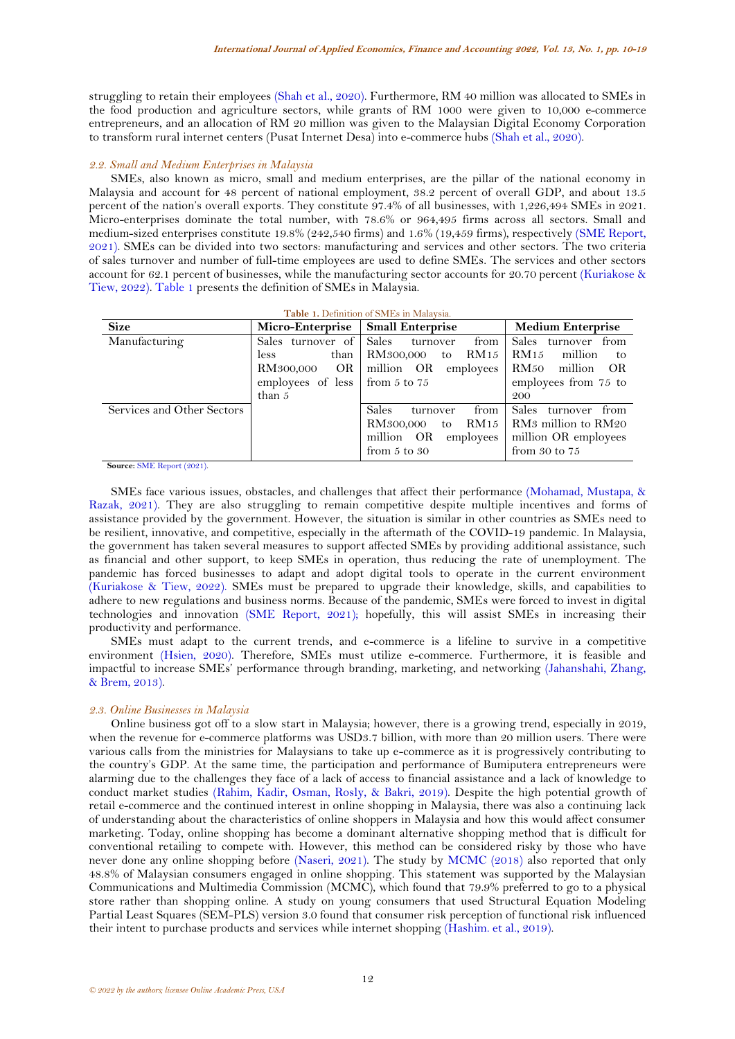struggling to retain their employees [\(Shah et al., 2020\)](#page-9-4). Furthermore, RM 40 million was allocated to SMEs in the food production and agriculture sectors, while grants of RM 1000 were given to 10,000 e-commerce entrepreneurs, and an allocation of RM 20 million was given to the Malaysian Digital Economy Corporation to transform rural internet centers (Pusat Internet Desa) into e-commerce hubs [\(Shah et al., 2020\)](#page-9-4).

#### *2.2. Small and Medium Enterprises in Malaysia*

SMEs, also known as micro, small and medium enterprises, are the pillar of the national economy in Malaysia and account for 48 percent of national employment, 38.2 percent of overall GDP, and about 13.5 percent of the nation's overall exports. They constitute 97.4% of all businesses, with 1,226,494 SMEs in 2021. Micro-enterprises dominate the total number, with 78.6% or 964,495 firms across all sectors. Small and medium-sized enterprises constitute 19.8% (242,540 firms) and 1.6% (19,459 firms), respectively [\(SME Report,](#page-9-0)  [2021\)](#page-9-0). SMEs can be divided into two sectors: manufacturing and services and other sectors. The two criteria of sales turnover and number of full-time employees are used to define SMEs. The services and other sectors account for 62.1 percent of businesses, while the manufacturing sector accounts for 20.70 percent [\(Kuriakose &](#page-9-5)  [Tiew, 2022\)](#page-9-5)[. Table 1](#page-2-0) presents the definition of SMEs in Malaysia.

<span id="page-2-0"></span>

| Table 1. Definition of SMEs in Malaysia. |                                                                                             |                                                                                                        |                                                                                                          |
|------------------------------------------|---------------------------------------------------------------------------------------------|--------------------------------------------------------------------------------------------------------|----------------------------------------------------------------------------------------------------------|
| <b>Size</b>                              | Micro-Enterprise   Small Enterprise                                                         |                                                                                                        | <b>Medium Enterprise</b>                                                                                 |
| Manufacturing                            | Sales turnover of Sales<br>than<br>less<br>employees of less $\vert$ from 5 to 75<br>than 5 | from<br>turnover<br>RM300,000 to RM15<br>RM300,000 OR million OR employees                             | from<br>Sales turnover<br>RM 15<br>million<br>to<br>RM50<br>million<br>OR<br>employees from 75 to<br>200 |
| Services and Other Sectors               |                                                                                             | Sales<br>from<br>turnover<br>RM300,000 to RM15   RM3 million to RM20<br>million OR<br>from $5$ to $30$ | from<br>Sales turnover<br>employees   million OR employees<br>from $30$ to $75$                          |

**Source:** [SME Report \(2021\).](#page-9-0)

SMEs face various issues, obstacles, and challenges that affect their performance [\(Mohamad, Mustapa, &](#page-9-6)  [Razak, 2021\)](#page-9-6). They are also struggling to remain competitive despite multiple incentives and forms of assistance provided by the government. However, the situation is similar in other countries as SMEs need to be resilient, innovative, and competitive, especially in the aftermath of the COVID-19 pandemic. In Malaysia, the government has taken several measures to support affected SMEs by providing additional assistance, such as financial and other support, to keep SMEs in operation, thus reducing the rate of unemployment. The pandemic has forced businesses to adapt and adopt digital tools to operate in the current environment [\(Kuriakose & Tiew, 2022\)](#page-9-5). SMEs must be prepared to upgrade their knowledge, skills, and capabilities to adhere to new regulations and business norms. Because of the pandemic, SMEs were forced to invest in digital technologies and innovation [\(SME Report, 2021\)](#page-9-0); hopefully, this will assist SMEs in increasing their productivity and performance.

SMEs must adapt to the current trends, and e-commerce is a lifeline to survive in a competitive environment [\(Hsien, 2020\)](#page-8-4). Therefore, SMEs must utilize e-commerce. Furthermore, it is feasible and impactful to increase SMEs' performance through branding, marketing, and networking [\(Jahanshahi, Zhang,](#page-9-7)  [& Brem, 2013\)](#page-9-7).

#### *2.3. Online Businesses in Malaysia*

Online business got off to a slow start in Malaysia; however, there is a growing trend, especially in 2019, when the revenue for e-commerce platforms was USD3.7 billion, with more than 20 million users. There were various calls from the ministries for Malaysians to take up e-commerce as it is progressively contributing to the country's GDP. At the same time, the participation and performance of Bumiputera entrepreneurs were alarming due to the challenges they face of a lack of access to financial assistance and a lack of knowledge to conduct market studies [\(Rahim, Kadir, Osman, Rosly, & Bakri, 2019\)](#page-9-8). Despite the high potential growth of retail e-commerce and the continued interest in online shopping in Malaysia, there was also a continuing lack of understanding about the characteristics of online shoppers in Malaysia and how this would affect consumer marketing. Today, online shopping has become a dominant alternative shopping method that is difficult for conventional retailing to compete with. However, this method can be considered risky by those who have never done any online shopping before [\(Naseri, 2021\)](#page-9-9). The study by [MCMC \(2018\)](#page-9-10) also reported that only 48.8% of Malaysian consumers engaged in online shopping. This statement was supported by the Malaysian Communications and Multimedia Commission (MCMC), which found that 79.9% preferred to go to a physical store rather than shopping online. A study on young consumers that used Structural Equation Modeling Partial Least Squares (SEM-PLS) version 3.0 found that consumer risk perception of functional risk influenced their intent to purchase products and services while internet shopping [\(Hashim. et al., 2019\)](#page-8-5).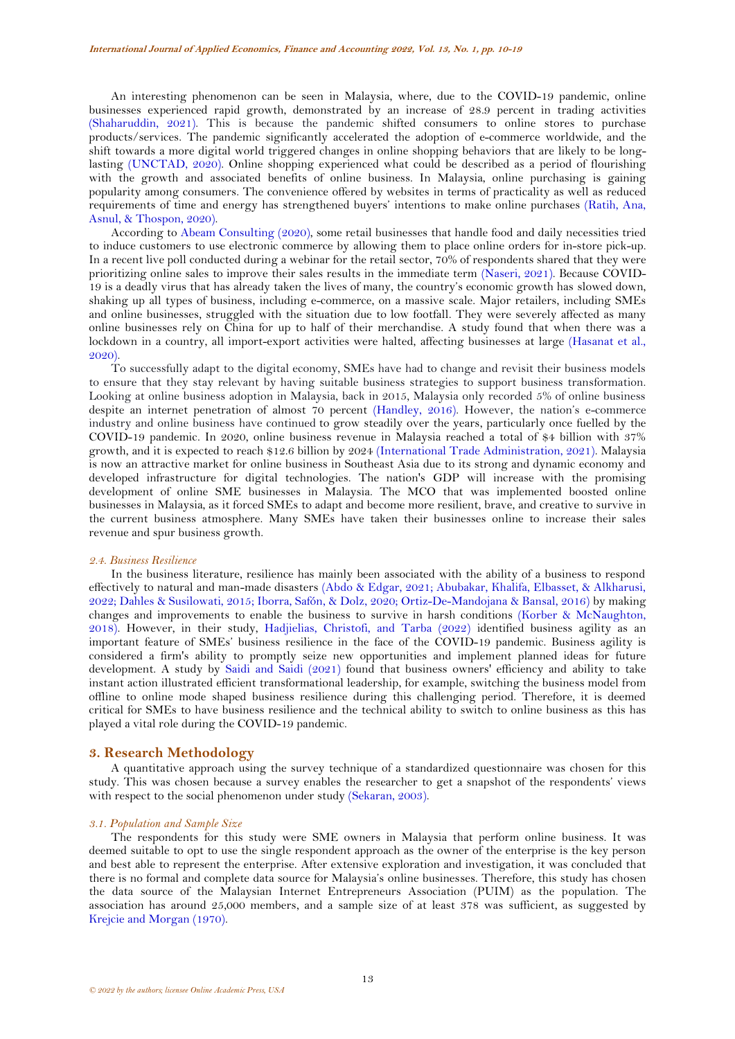An interesting phenomenon can be seen in Malaysia, where, due to the COVID-19 pandemic, online businesses experienced rapid growth, demonstrated by an increase of 28.9 percent in trading activities [\(Shaharuddin, 2021\)](#page-9-11). This is because the pandemic shifted consumers to online stores to purchase products/services. The pandemic significantly accelerated the adoption of e-commerce worldwide, and the shift towards a more digital world triggered changes in online shopping behaviors that are likely to be longlasting [\(UNCTAD, 2020\)](#page-9-12). Online shopping experienced what could be described as a period of flourishing with the growth and associated benefits of online business. In Malaysia, online purchasing is gaining popularity among consumers. The convenience offered by websites in terms of practicality as well as reduced requirements of time and energy has strengthened buyers' intentions to make online purchases [\(Ratih, Ana,](#page-9-13)  [Asnul, & Thospon, 2020\)](#page-9-13).

According to [Abeam Consulting \(2020\)](#page-8-6), some retail businesses that handle food and daily necessities tried to induce customers to use electronic commerce by allowing them to place online orders for in-store pick-up. In a recent live poll conducted during a webinar for the retail sector, 70% of respondents shared that they were prioritizing online sales to improve their sales results in the immediate term [\(Naseri, 2021\)](#page-9-9). Because COVID-19 is a deadly virus that has already taken the lives of many, the country's economic growth has slowed down, shaking up all types of business, including e-commerce, on a massive scale. Major retailers, including SMEs and online businesses, struggled with the situation due to low footfall. They were severely affected as many online businesses rely on China for up to half of their merchandise. A study found that when there was a lockdown in a country, all import-export activities were halted, affecting businesses at large [\(Hasanat et al.,](#page-8-7)  [2020\)](#page-8-7).

To successfully adapt to the digital economy, SMEs have had to change and revisit their business models to ensure that they stay relevant by having suitable business strategies to support business transformation. Looking at online business adoption in Malaysia, back in 2015, Malaysia only recorded 5% of online business despite an internet penetration of almost 70 percent [\(Handley, 2016\)](#page-8-8). However, the nation's e-commerce industry and online business have continued to grow steadily over the years, particularly once fuelled by the COVID-19 pandemic. In 2020, online business revenue in Malaysia reached a total of \$4 billion with 37% growth, and it is expected to reach \$12.6 billion by 2024 [\(International Trade Administration, 2021\)](#page-9-14). Malaysia is now an attractive market for online business in Southeast Asia due to its strong and dynamic economy and developed infrastructure for digital technologies. The nation's GDP will increase with the promising development of online SME businesses in Malaysia. The MCO that was implemented boosted online businesses in Malaysia, as it forced SMEs to adapt and become more resilient, brave, and creative to survive in the current business atmosphere. Many SMEs have taken their businesses online to increase their sales revenue and spur business growth.

#### *2.4. Business Resilience*

In the business literature, resilience has mainly been associated with the ability of a business to respond effectively to natural and man-made disasters [\(Abdo & Edgar, 2021;](#page-8-9) [Abubakar, Khalifa, Elbasset, & Alkharusi,](#page-8-10)  [2022;](#page-8-10) [Dahles & Susilowati, 2015;](#page-8-11) [Iborra, Safón, & Dolz, 2020;](#page-8-12) [Ortiz-De-Mandojana & Bansal, 2016\)](#page-9-15) by making changes and improvements to enable the business to survive in harsh conditions [\(Korber & McNaughton,](#page-9-16)  [2018\)](#page-9-16). However, in their study, [Hadjielias, Christofi, and Tarba \(2022\)](#page-8-13) identified business agility as an important feature of SMEs' business resilience in the face of the COVID-19 pandemic. Business agility is considered a firm's ability to promptly seize new opportunities and implement planned ideas for future development. A study by [Saidi and Saidi \(2021\)](#page-9-17) found that business owners' efficiency and ability to take instant action illustrated efficient transformational leadership, for example, switching the business model from offline to online mode shaped business resilience during this challenging period. Therefore, it is deemed critical for SMEs to have business resilience and the technical ability to switch to online business as this has played a vital role during the COVID-19 pandemic.

#### **3. Research Methodology**

A quantitative approach using the survey technique of a standardized questionnaire was chosen for this study. This was chosen because a survey enables the researcher to get a snapshot of the respondents' views with respect to the social phenomenon under study [\(Sekaran, 2003\)](#page-9-18).

#### *3.1. Population and Sample Size*

The respondents for this study were SME owners in Malaysia that perform online business. It was deemed suitable to opt to use the single respondent approach as the owner of the enterprise is the key person and best able to represent the enterprise. After extensive exploration and investigation, it was concluded that there is no formal and complete data source for Malaysia's online businesses. Therefore, this study has chosen the data source of the Malaysian Internet Entrepreneurs Association (PUIM) as the population. The association has around 25,000 members, and a sample size of at least 378 was sufficient, as suggested by [Krejcie and Morgan \(1970\)](#page-9-19).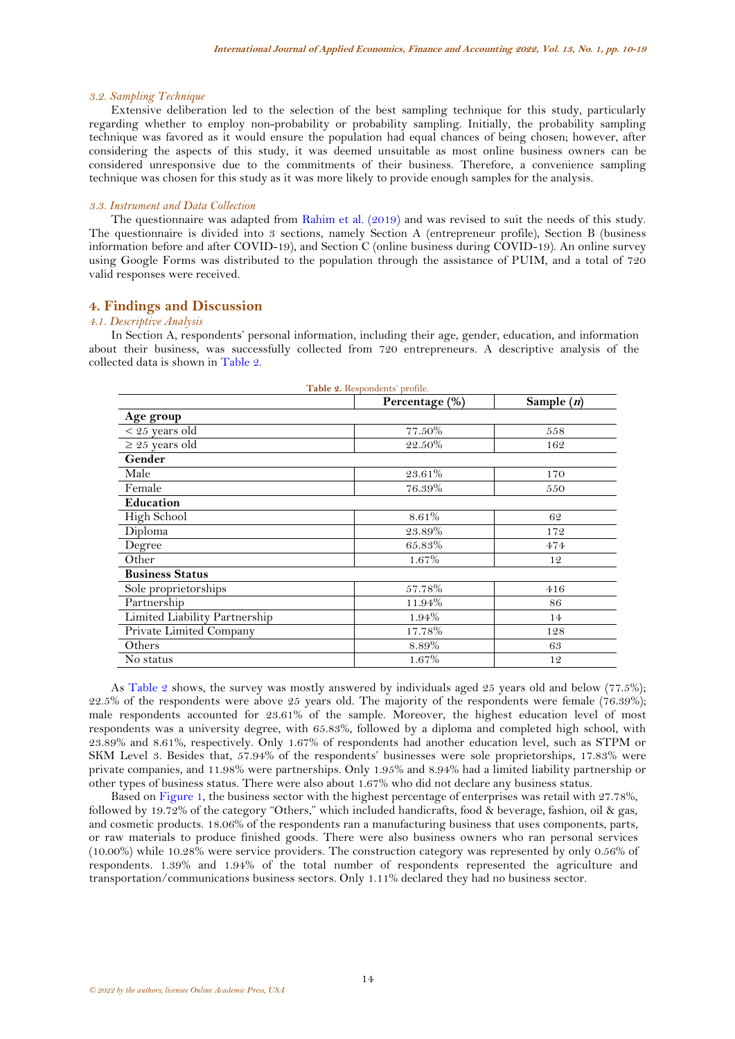#### *3.2. Sampling Technique*

Extensive deliberation led to the selection of the best sampling technique for this study, particularly regarding whether to employ non-probability or probability sampling. Initially, the probability sampling technique was favored as it would ensure the population had equal chances of being chosen; however, after considering the aspects of this study, it was deemed unsuitable as most online business owners can be considered unresponsive due to the commitments of their business. Therefore, a convenience sampling technique was chosen for this study as it was more likely to provide enough samples for the analysis.

#### *3.3. Instrument and Data Collection*

The questionnaire was adapted from [Rahim et al. \(2019\)](#page-9-8) and was revised to suit the needs of this study. The questionnaire is divided into 3 sections, namely Section A (entrepreneur profile), Section B (business information before and after COVID-19), and Section C (online business during COVID-19). An online survey using Google Forms was distributed to the population through the assistance of PUIM, and a total of 720 valid responses were received.

# **4. Findings and Discussion**

#### *4.1. Descriptive Analysis*

In Section A, respondents' personal information, including their age, gender, education, and information about their business, was successfully collected from 720 entrepreneurs. A descriptive analysis of the collected data is shown in [Table 2.](#page-4-0)

<span id="page-4-0"></span>

| Table 2. Respondents' profile. |                |              |  |  |
|--------------------------------|----------------|--------------|--|--|
|                                | Percentage (%) | Sample $(n)$ |  |  |
| Age group                      |                |              |  |  |
| $<$ 25 years old               | 77.50%         | 558          |  |  |
| $\geq 25$ years old            | 22.50%         | 162          |  |  |
| Gender                         |                |              |  |  |
| Male                           | 23.61%         | 170          |  |  |
| Female                         | 76.39%         | 550          |  |  |
| Education                      |                |              |  |  |
| High School                    | 8.61%          | 62           |  |  |
| Diploma                        | 23.89%         | 172          |  |  |
| Degree                         | 65.83%         | 474          |  |  |
| Other                          | 1.67%          | 12           |  |  |
| <b>Business Status</b>         |                |              |  |  |
| Sole proprietorships           | 57.78%         | 416          |  |  |
| Partnership                    | 11.94%         | 86           |  |  |
| Limited Liability Partnership  | 1.94%          | 14           |  |  |
| Private Limited Company        | 17.78%         | 128          |  |  |
| Others                         | 8.89%          | 63           |  |  |
| No status                      | 1.67%          | 12           |  |  |

As [Table 2](#page-4-0) shows, the survey was mostly answered by individuals aged 25 years old and below (77.5%); 22.5% of the respondents were above 25 years old. The majority of the respondents were female (76.39%); male respondents accounted for 23.61% of the sample. Moreover, the highest education level of most respondents was a university degree, with 65.83%, followed by a diploma and completed high school, with 23.89% and 8.61%, respectively. Only 1.67% of respondents had another education level, such as STPM or SKM Level 3. Besides that, 57.94% of the respondents' businesses were sole proprietorships, 17.83% were private companies, and 11.98% were partnerships. Only 1.95% and 8.94% had a limited liability partnership or other types of business status. There were also about 1.67% who did not declare any business status.

Based on [Figure](#page-5-0) 1, the business sector with the highest percentage of enterprises was retail with 27.78%, followed by 19.72% of the category "Others," which included handicrafts, food & beverage, fashion, oil & gas, and cosmetic products. 18.06% of the respondents ran a manufacturing business that uses components, parts, or raw materials to produce finished goods. There were also business owners who ran personal services (10.00%) while 10.28% were service providers. The construction category was represented by only 0.56% of respondents. 1.39% and 1.94% of the total number of respondents represented the agriculture and transportation/communications business sectors. Only 1.11% declared they had no business sector.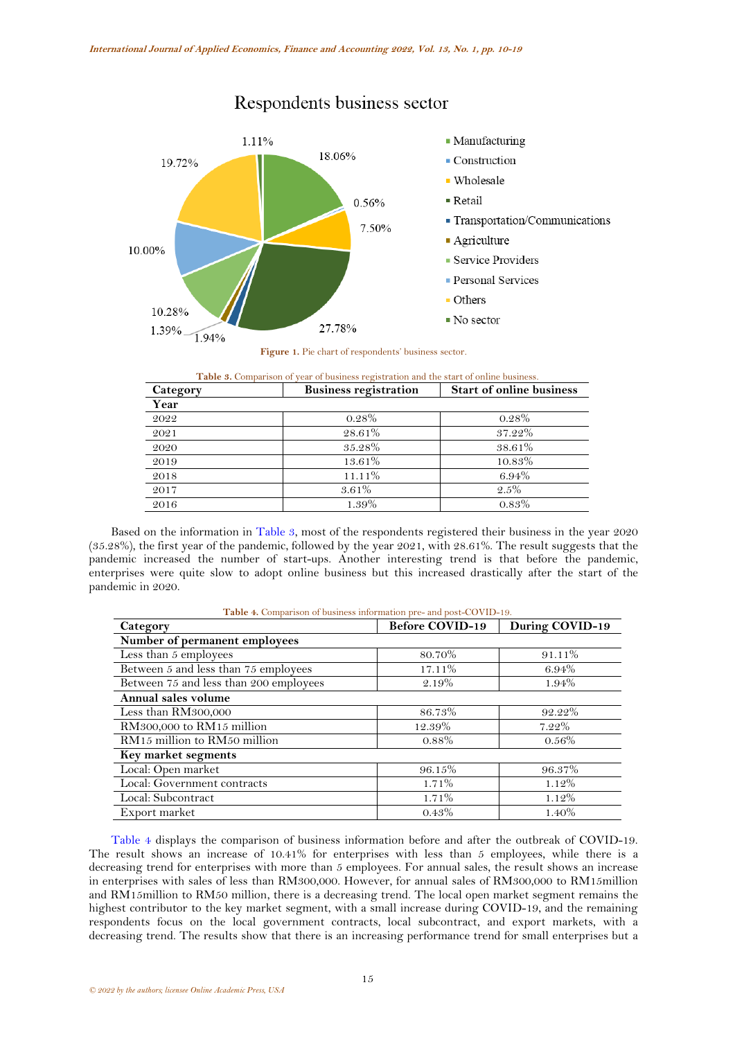

# Respondents business sector



<span id="page-5-1"></span><span id="page-5-0"></span>

| <b>Table 3.</b> Comparison of year of business registration and the start of online business. |                              |                                 |  |  |
|-----------------------------------------------------------------------------------------------|------------------------------|---------------------------------|--|--|
| Category                                                                                      | <b>Business registration</b> | <b>Start of online business</b> |  |  |
| Year                                                                                          |                              |                                 |  |  |
| 2022                                                                                          | $0.28\%$                     | $0.28\%$                        |  |  |
| 2021                                                                                          | 28.61%                       | 37.22%                          |  |  |
| 2020                                                                                          | 35.28%                       | 38.61%                          |  |  |
| 2019                                                                                          | 13.61%                       | 10.83%                          |  |  |
| 2018                                                                                          | 11.11%                       | 6.94%                           |  |  |
| 2017                                                                                          | $3.61\%$                     | $2.5\%$                         |  |  |
| 2016                                                                                          | 1.39%                        | $0.83\%$                        |  |  |

Based on the information in [Table 3,](#page-5-1) most of the respondents registered their business in the year 2020 (35.28%), the first year of the pandemic, followed by the year 2021, with 28.61%. The result suggests that the pandemic increased the number of start-ups. Another interesting trend is that before the pandemic, enterprises were quite slow to adopt online business but this increased drastically after the start of the pandemic in 2020.

|  |  |  |  |  |  | Table 4. Comparison of business information pre- and post-COVID-19. |  |
|--|--|--|--|--|--|---------------------------------------------------------------------|--|
|--|--|--|--|--|--|---------------------------------------------------------------------|--|

<span id="page-5-2"></span>

| Category                               | <b>Before COVID-19</b> | During COVID-19 |
|----------------------------------------|------------------------|-----------------|
| Number of permanent employees          |                        |                 |
| Less than 5 employees                  | 80.70%                 | 91.11%          |
| Between 5 and less than 75 employees   | 17.11%                 | 6.94%           |
| Between 75 and less than 200 employees | 2.19%                  | 1.94%           |
| Annual sales volume                    |                        |                 |
| Less than RM300,000                    | 86.73%                 | 92.22%          |
| RM300,000 to RM15 million              | 12.39%                 | 7.22%           |
| RM15 million to RM50 million           | $0.88\%$               | $0.56\%$        |
| Key market segments                    |                        |                 |
| Local: Open market                     | 96.15%                 | 96.37%          |
| Local: Government contracts            | $1.71\%$               | $1.12\%$        |
| Local: Subcontract                     | 1.71%                  | 1.12%           |
| Export market                          | 0.43%                  | 1.40%           |

[Table 4](#page-5-2) displays the comparison of business information before and after the outbreak of COVID-19. The result shows an increase of 10.41% for enterprises with less than 5 employees, while there is a decreasing trend for enterprises with more than 5 employees. For annual sales, the result shows an increase in enterprises with sales of less than RM300,000. However, for annual sales of RM300,000 to RM15million and RM15million to RM50 million, there is a decreasing trend. The local open market segment remains the highest contributor to the key market segment, with a small increase during COVID-19, and the remaining respondents focus on the local government contracts, local subcontract, and export markets, with a decreasing trend. The results show that there is an increasing performance trend for small enterprises but a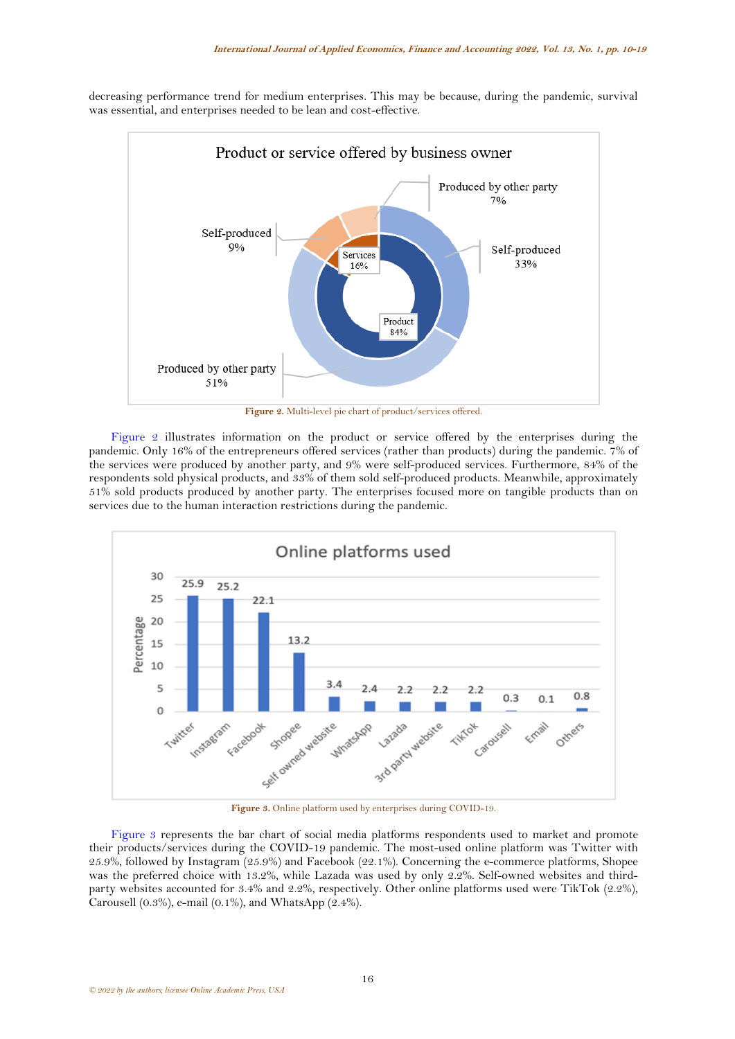

decreasing performance trend for medium enterprises. This may be because, during the pandemic, survival was essential, and enterprises needed to be lean and cost-effective.

**Figure 2.** Multi-level pie chart of product/services offered.

<span id="page-6-0"></span>[Figure 2](#page-6-0) illustrates information on the product or service offered by the enterprises during the pandemic. Only 16% of the entrepreneurs offered services (rather than products) during the pandemic. 7% of the services were produced by another party, and 9% were self-produced services. Furthermore, 84% of the respondents sold physical products, and 33% of them sold self-produced products. Meanwhile, approximately 51% sold products produced by another party. The enterprises focused more on tangible products than on services due to the human interaction restrictions during the pandemic.



**Figure 3.** Online platform used by enterprises during COVID-19.

<span id="page-6-1"></span>[Figure](#page-6-1) 3 represents the bar chart of social media platforms respondents used to market and promote their products/services during the COVID-19 pandemic. The most-used online platform was Twitter with 25.9%, followed by Instagram (25.9%) and Facebook (22.1%). Concerning the e-commerce platforms, Shopee was the preferred choice with 13.2%, while Lazada was used by only 2.2%. Self-owned websites and thirdparty websites accounted for 3.4% and 2.2%, respectively. Other online platforms used were TikTok (2.2%), Carousell  $(0.3\%)$ , e-mail  $(0.1\%)$ , and WhatsApp  $(2.4\%)$ .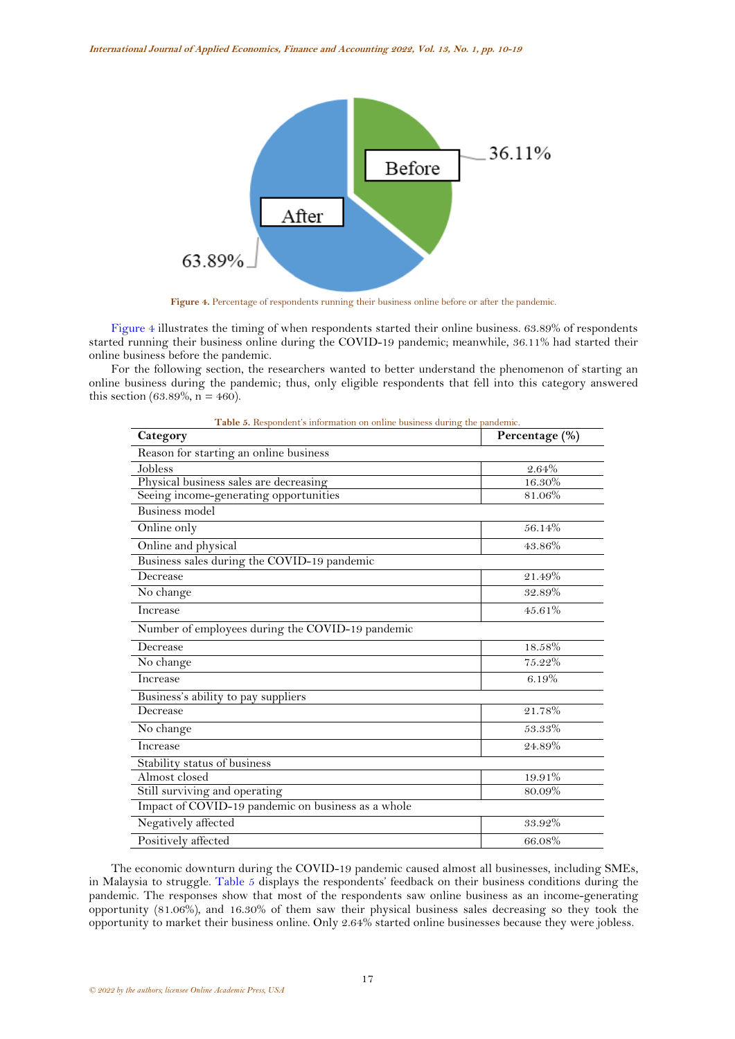

**Figure 4.** Percentage of respondents running their business online before or after the pandemic.

<span id="page-7-0"></span>[Figure 4](#page-7-0) illustrates the timing of when respondents started their online business. 63.89% of respondents started running their business online during the COVID-19 pandemic; meanwhile, 36.11% had started their online business before the pandemic.

For the following section, the researchers wanted to better understand the phenomenon of starting an online business during the pandemic; thus, only eligible respondents that fell into this category answered this section (63.89%,  $n = 460$ ).

<span id="page-7-1"></span>

| Category                                           | Percentage (%) |
|----------------------------------------------------|----------------|
| Reason for starting an online business             |                |
| Jobless                                            | 2.64%          |
| Physical business sales are decreasing             | 16.30%         |
| Seeing income-generating opportunities             | 81.06%         |
| <b>Business model</b>                              |                |
| Online only                                        | 56.14%         |
| Online and physical                                | 43.86%         |
| Business sales during the COVID-19 pandemic        |                |
| Decrease                                           | 21.49%         |
| No change                                          | 32.89%         |
| Increase                                           | 45.61%         |
| Number of employees during the COVID-19 pandemic   |                |
| Decrease                                           | 18.58%         |
| No change                                          | 75.22%         |
| Increase                                           | 6.19%          |
| Business's ability to pay suppliers                |                |
| Decrease                                           | 21.78%         |
| No change                                          | $53.33\%$      |
| Increase                                           | 24.89%         |
| Stability status of business                       |                |
| Almost closed                                      | 19.91%         |
| Still surviving and operating                      | 80.09%         |
| Impact of COVID-19 pandemic on business as a whole |                |
| Negatively affected                                | 33.92%         |
| Positively affected                                | 66.08%         |

**Table 5.** Respondent's information on online business during the pandemic.

The economic downturn during the COVID-19 pandemic caused almost all businesses, including SMEs, in Malaysia to struggle. [Table 5](#page-7-1) displays the respondents' feedback on their business conditions during the pandemic. The responses show that most of the respondents saw online business as an income-generating opportunity (81.06%), and 16.30% of them saw their physical business sales decreasing so they took the opportunity to market their business online. Only 2.64% started online businesses because they were jobless.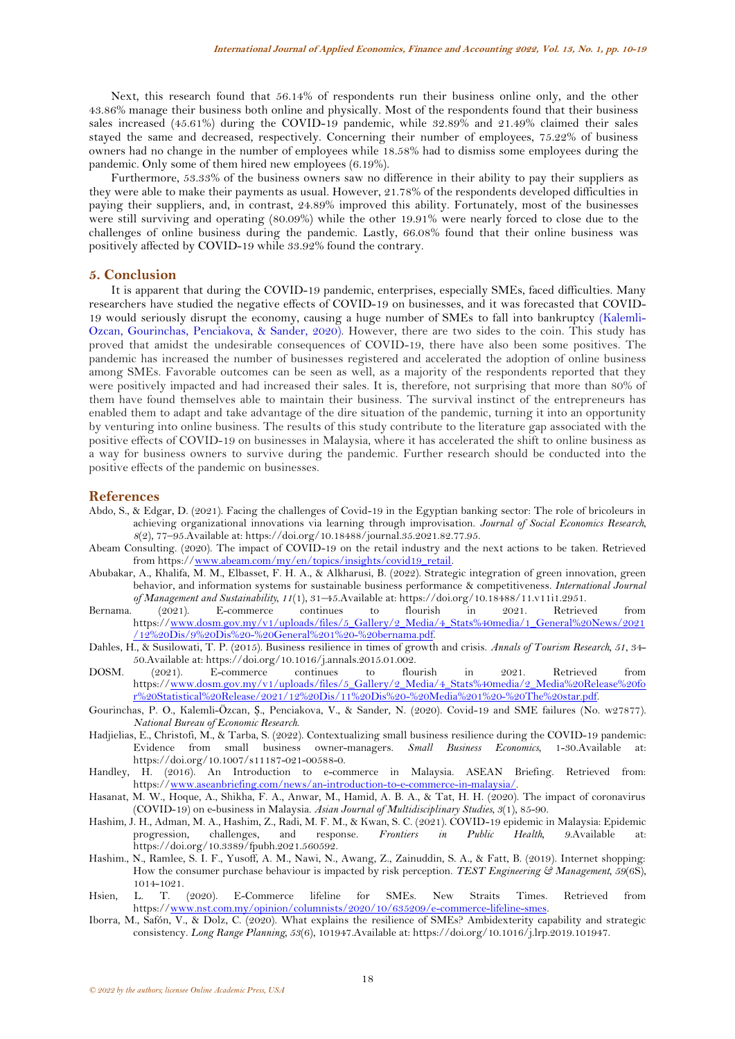Next, this research found that 56.14% of respondents run their business online only, and the other 43.86% manage their business both online and physically. Most of the respondents found that their business sales increased (45.61%) during the COVID-19 pandemic, while 32.89% and 21.49% claimed their sales stayed the same and decreased, respectively. Concerning their number of employees, 75.22% of business owners had no change in the number of employees while 18.58% had to dismiss some employees during the pandemic. Only some of them hired new employees (6.19%).

Furthermore, 53.33% of the business owners saw no difference in their ability to pay their suppliers as they were able to make their payments as usual. However, 21.78% of the respondents developed difficulties in paying their suppliers, and, in contrast, 24.89% improved this ability. Fortunately, most of the businesses were still surviving and operating (80.09%) while the other 19.91% were nearly forced to close due to the challenges of online business during the pandemic. Lastly, 66.08% found that their online business was positively affected by COVID-19 while 33.92% found the contrary.

## **5. Conclusion**

It is apparent that during the COVID-19 pandemic, enterprises, especially SMEs, faced difficulties. Many researchers have studied the negative effects of COVID-19 on businesses, and it was forecasted that COVID-19 would seriously disrupt the economy, causing a huge number of SMEs to fall into bankruptcy [\(Kalemli-](#page-9-20)[Ozcan, Gourinchas, Penciakova, & Sander, 2020\)](#page-9-20). However, there are two sides to the coin. This study has proved that amidst the undesirable consequences of COVID-19, there have also been some positives. The pandemic has increased the number of businesses registered and accelerated the adoption of online business among SMEs. Favorable outcomes can be seen as well, as a majority of the respondents reported that they were positively impacted and had increased their sales. It is, therefore, not surprising that more than 80% of them have found themselves able to maintain their business. The survival instinct of the entrepreneurs has enabled them to adapt and take advantage of the dire situation of the pandemic, turning it into an opportunity by venturing into online business. The results of this study contribute to the literature gap associated with the positive effects of COVID-19 on businesses in Malaysia, where it has accelerated the shift to online business as a way for business owners to survive during the pandemic. Further research should be conducted into the positive effects of the pandemic on businesses.

#### **References**

- <span id="page-8-9"></span>Abdo, S., & Edgar, D. (2021). Facing the challenges of Covid-19 in the Egyptian banking sector: The role of bricoleurs in achieving organizational innovations via learning through improvisation. *Journal of Social Economics Research, 8*(2), 77–95.Available at: https://doi.org/10.18488/journal.35.2021.82.77.95.
- <span id="page-8-6"></span>Abeam Consulting. (2020). The impact of COVID-19 on the retail industry and the next actions to be taken. Retrieved from https:/[/www.abeam.com/my/en/topics/insights/covid19\\_retail.](http://www.abeam.com/my/en/topics/insights/covid19_retail)
- <span id="page-8-10"></span>Abubakar, A., Khalifa, M. M., Elbasset, F. H. A., & Alkharusi, B. (2022). Strategic integration of green innovation, green behavior, and information systems for sustainable business performance & competitiveness. *International Journal of Management and Sustainability, 11*(1), 31–45.Available at: https://doi.org/10.18488/11.v11i1.2951.
- <span id="page-8-1"></span>Bernama. (2021). E-commerce continues to flourish in 2021. Retrieved from https:/[/www.dosm.gov.my/v1/uploads/files/5\\_Gallery/2\\_Media/4\\_Stats%40media/1\\_General%20News/2021](http://www.dosm.gov.my/v1/uploads/files/5_Gallery/2_Media/4_Stats%40media/1_General%20News/2021/12%20Dis/9%20Dis%20-%20General%201%20-%20bernama.pdf) [/12%20Dis/9%20Dis%20-%20General%201%20-%20bernama.pdf.](http://www.dosm.gov.my/v1/uploads/files/5_Gallery/2_Media/4_Stats%40media/1_General%20News/2021/12%20Dis/9%20Dis%20-%20General%201%20-%20bernama.pdf)
- <span id="page-8-11"></span>Dahles, H., & Susilowati, T. P. (2015). Business resilience in times of growth and crisis. *Annals of Tourism Research, 51*, 34- 50.Available at: https://doi.org/10.1016/j.annals.2015.01.002.
- <span id="page-8-2"></span>DOSM. (2021). E-commerce continues to flourish in 2021. Retrieved from https:/[/www.dosm.gov.my/v1/uploads/files/5\\_Gallery/2\\_Media/4\\_Stats%40media/2\\_Media%20Release%20fo](http://www.dosm.gov.my/v1/uploads/files/5_Gallery/2_Media/4_Stats%40media/2_Media%20Release%20for%20Statistical%20Release/2021/12%20Dis/11%20Dis%20-%20Media%201%20-%20The%20star.pdf) [r%20Statistical%20Release/2021/12%20Dis/11%20Dis%20-%20Media%201%20-%20The%20star.pdf.](http://www.dosm.gov.my/v1/uploads/files/5_Gallery/2_Media/4_Stats%40media/2_Media%20Release%20for%20Statistical%20Release/2021/12%20Dis/11%20Dis%20-%20Media%201%20-%20The%20star.pdf)
- <span id="page-8-0"></span>Gourinchas, P. O., Kalemli-Özcan, Ṣ., Penciakova, V., & Sander, N. (2020). Covid-19 and SME failures (No. w27877). *National Bureau of Economic Research*.
- <span id="page-8-13"></span>Hadjielias, E., Christofi, M., & Tarba, S. (2022). Contextualizing small business resilience during the COVID-19 pandemic: Evidence from small business owner-managers. *Small Business Economics*, 1-30.Available https://doi.org/10.1007/s11187-021-00588-0.
- <span id="page-8-8"></span>Handley, H. (2016). An Introduction to e-commerce in Malaysia. ASEAN Briefing. Retrieved from: https:/[/www.aseanbriefing.com/news/an-introduction-to-e-commerce-in-malaysia/.](http://www.aseanbriefing.com/news/an-introduction-to-e-commerce-in-malaysia/)
- <span id="page-8-7"></span>Hasanat, M. W., Hoque, A., Shikha, F. A., Anwar, M., Hamid, A. B. A., & Tat, H. H. (2020). The impact of coronavirus (COVID-19) on e-business in Malaysia. *Asian Journal of Multidisciplinary Studies, 3*(1), 85-90.
- <span id="page-8-3"></span>Hashim, J. H., Adman, M. A., Hashim, Z., Radi, M. F. M., & Kwan, S. C. (2021). COVID-19 epidemic in Malaysia: Epidemic progression, challenges, and response. *Frontiers in Public Health, 9*.Available at: https://doi.org/10.3389/fpubh.2021.560592.
- <span id="page-8-5"></span>Hashim., N., Ramlee, S. I. F., Yusoff, A. M., Nawi, N., Awang, Z., Zainuddin, S. A., & Fatt, B. (2019). Internet shopping: How the consumer purchase behaviour is impacted by risk perception. *TEST Engineering & Management, 59*(6S), 1014-1021.
- <span id="page-8-4"></span>Hsien, L. T. (2020). E-Commerce lifeline for SMEs. New Straits Times. Retrieved from https:/[/www.nst.com.my/opinion/columnists/2020/10/635209/e-commerce-lifeline-smes.](http://www.nst.com.my/opinion/columnists/2020/10/635209/e-commerce-lifeline-smes)
- <span id="page-8-12"></span>Iborra, M., Safón, V., & Dolz, C. (2020). What explains the resilience of SMEs? Ambidexterity capability and strategic consistency. *Long Range Planning, 53*(6), 101947.Available at: https://doi.org/10.1016/j.lrp.2019.101947.